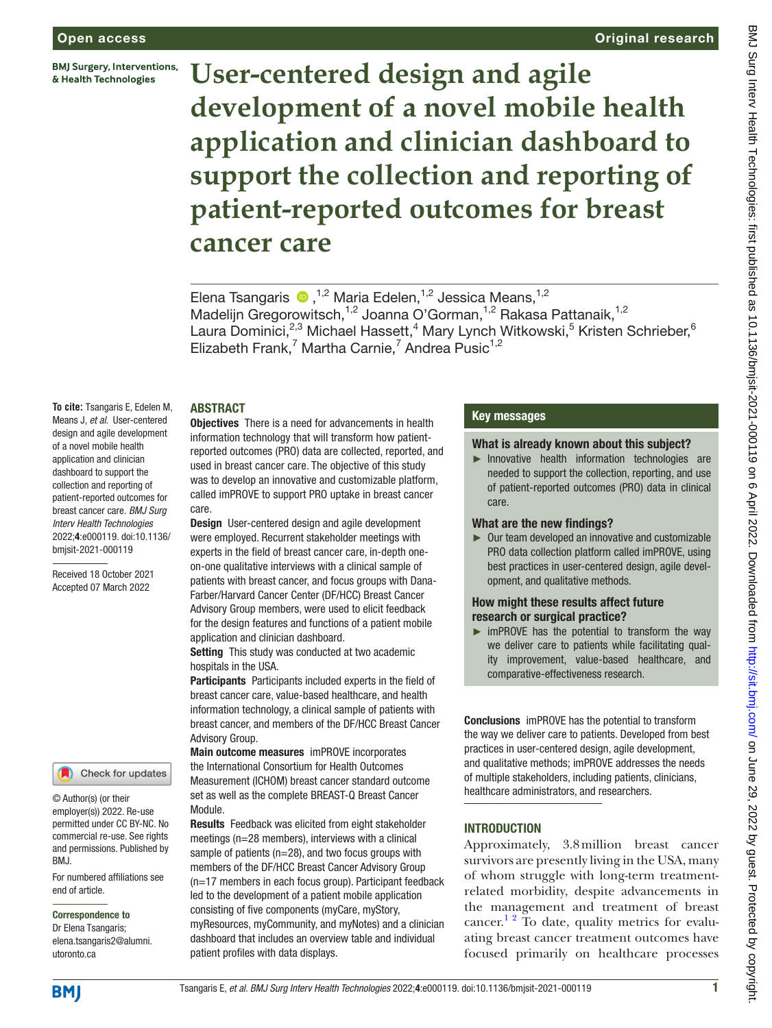**BMJ Surgery, Interventions,** & Health Technologies

#### Original research

# **User-centered design and agile development of a novel mobile health application and clinician dashboard to support the collection and reporting of patient-reported outcomes for breast cancer care**

Elena Tsangaris  $\bullet$ ,<sup>1,2</sup> Maria Edelen,<sup>1,2</sup> Jessica Means,<sup>1,2</sup> Madelijn Gregorowitsch,<sup>1,2</sup> Joanna O'Gorman,<sup>1,2</sup> Rakasa Pattanaik,<sup>1,2</sup> Laura Dominici,<sup>2,3</sup> Michael Hassett,<sup>4</sup> Mary Lynch Witkowski,<sup>5</sup> Kristen Schrieber,<sup>6</sup> Elizabeth Frank,<sup>7</sup> Martha Carnie,<sup>7</sup> Andrea Pusic<sup>1,2</sup>

#### ABSTRACT

**To cite:** Tsangaris E, Edelen M, Means J, *et al*. User-centered design and agile development of a novel mobile health application and clinician dashboard to support the collection and reporting of patient-reported outcomes for breast cancer care. *BMJ Surg Interv Health Technologies* 2022;4:e000119. doi:10.1136/ bmjsit-2021-000119

Received 18 October 2021 Accepted 07 March 2022

#### Check for updates

© Author(s) (or their employer(s)) 2022. Re-use permitted under CC BY-NC. No commercial re-use. See rights and permissions. Published by BMJ.

For numbered affiliations see end of article.

Correspondence to

Dr Elena Tsangaris; elena.tsangaris2@alumni. utoronto.ca

Objectives There is a need for advancements in health information technology that will transform how patientreported outcomes (PRO) data are collected, reported, and used in breast cancer care. The objective of this study was to develop an innovative and customizable platform, called imPROVE to support PRO uptake in breast cancer care.

Design User-centered design and agile development were employed. Recurrent stakeholder meetings with experts in the field of breast cancer care, in-depth oneon-one qualitative interviews with a clinical sample of patients with breast cancer, and focus groups with Dana-Farber/Harvard Cancer Center (DF/HCC) Breast Cancer Advisory Group members, were used to elicit feedback for the design features and functions of a patient mobile application and clinician dashboard.

Setting This study was conducted at two academic hospitals in the USA.

Participants Participants included experts in the field of breast cancer care, value-based healthcare, and health information technology, a clinical sample of patients with breast cancer, and members of the DF/HCC Breast Cancer Advisory Group.

Main outcome measures imPROVE incorporates the International Consortium for Health Outcomes Measurement (ICHOM) breast cancer standard outcome set as well as the complete BREAST-Q Breast Cancer Module.

Results Feedback was elicited from eight stakeholder meetings (n=28 members), interviews with a clinical sample of patients (n=28), and two focus groups with members of the DF/HCC Breast Cancer Advisory Group (n=17 members in each focus group). Participant feedback led to the development of a patient mobile application consisting of five components (myCare, myStory, myResources, myCommunity, and myNotes) and a clinician dashboard that includes an overview table and individual patient profiles with data displays.

#### Key messages

#### What is already known about this subject?

► Innovative health information technologies are needed to support the collection, reporting, and use of patient-reported outcomes (PRO) data in clinical care.

#### What are the new findings?

► Our team developed an innovative and customizable PRO data collection platform called imPROVE, using best practices in user-centered design, agile development, and qualitative methods.

#### How might these results affect future research or surgical practice?

► imPROVE has the potential to transform the way we deliver care to patients while facilitating quality improvement, value-based healthcare, and comparative-effectiveness research.

Conclusions imPROVE has the potential to transform the way we deliver care to patients. Developed from best practices in user-centered design, agile development, and qualitative methods; imPROVE addresses the needs of multiple stakeholders, including patients, clinicians, healthcare administrators, and researchers.

#### **INTRODUCTION**

Approximately, 3.8million breast cancer survivors are presently living in the USA, many of whom struggle with long-term treatmentrelated morbidity, despite advancements in the management and treatment of breast cancer.<sup>12</sup> To date, quality metrics for evaluating breast cancer treatment outcomes have focused primarily on healthcare processes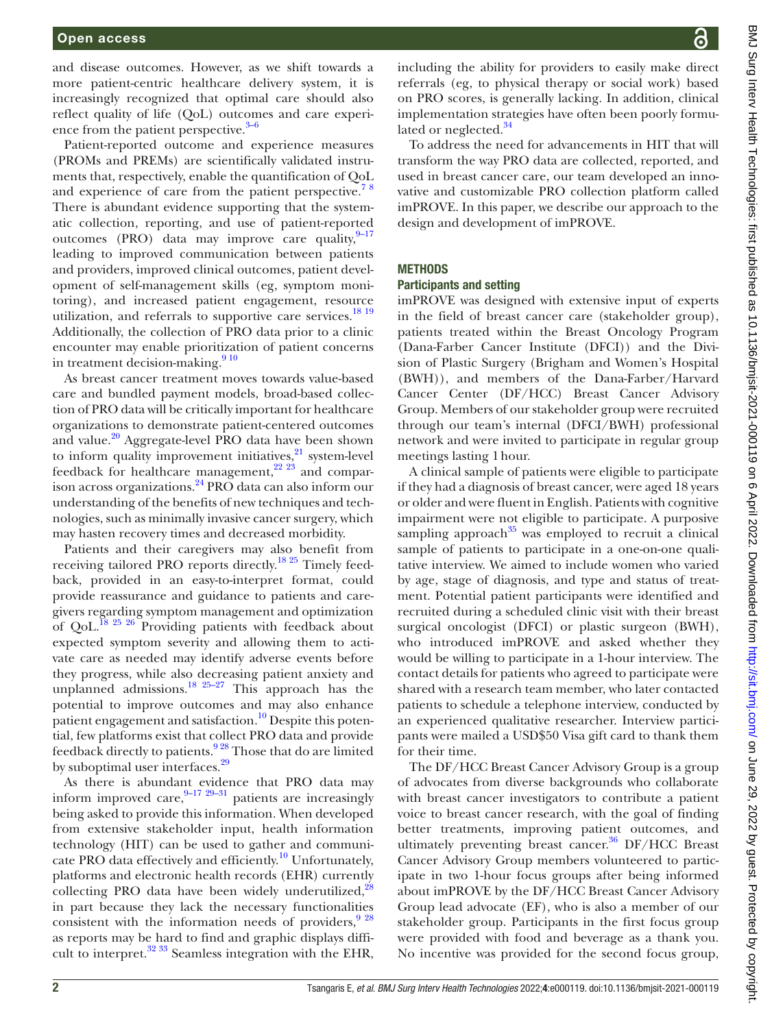and disease outcomes. However, as we shift towards a more patient-centric healthcare delivery system, it is increasingly recognized that optimal care should also reflect quality of life (QoL) outcomes and care experience from the patient perspective. $3-6$ 

Patient-reported outcome and experience measures (PROMs and PREMs) are scientifically validated instruments that, respectively, enable the quantification of QoL and experience of care from the patient perspective.<sup>78</sup> There is abundant evidence supporting that the systematic collection, reporting, and use of patient-reported outcomes (PRO) data may improve care quality,  $9-17$ leading to improved communication between patients and providers, improved clinical outcomes, patient development of self-management skills (eg, symptom monitoring), and increased patient engagement, resource utilization, and referrals to supportive care services.<sup>18 19</sup> Additionally, the collection of PRO data prior to a clinic encounter may enable prioritization of patient concerns in treatment decision-making. $910$ 

As breast cancer treatment moves towards value-based care and bundled payment models, broad-based collection of PRO data will be critically important for healthcare organizations to demonstrate patient-centered outcomes and value.<sup>20</sup> Aggregate-level PRO data have been shown to inform quality improvement initiatives, $21$  system-level feedback for healthcare management,  $22 \overline{23}$  and comparison across organizations.[24](#page-9-8) PRO data can also inform our understanding of the benefits of new techniques and technologies, such as minimally invasive cancer surgery, which may hasten recovery times and decreased morbidity.

Patients and their caregivers may also benefit from receiving tailored PRO reports directly.<sup>18 25</sup> Timely feedback, provided in an easy-to-interpret format, could provide reassurance and guidance to patients and caregivers regarding symptom management and optimization of QoL.<sup>[18 25 26](#page-9-4)</sup> Providing patients with feedback about expected symptom severity and allowing them to activate care as needed may identify adverse events before they progress, while also decreasing patient anxiety and unplanned admissions.<sup>[18 25–27](#page-9-4)</sup> This approach has the potential to improve outcomes and may also enhance patient engagement and satisfaction.<sup>10</sup> Despite this potential, few platforms exist that collect PRO data and provide feedback directly to patients.<sup>928</sup> Those that do are limited by suboptimal user interfaces.<sup>[29](#page-9-10)</sup>

As there is abundant evidence that PRO data may inform improved care,  $9-17$   $29-31$  patients are increasingly being asked to provide this information. When developed from extensive stakeholder input, health information technology (HIT) can be used to gather and communi-cate PRO data effectively and efficiently.<sup>[10](#page-9-9)</sup> Unfortunately, platforms and electronic health records (EHR) currently collecting PRO data have been widely underutilized, $^{28}$  $^{28}$  $^{28}$ in part because they lack the necessary functionalities consistent with the information needs of providers,  $9^{928}$ as reports may be hard to find and graphic displays difficult to interpret.<sup>32</sup> 33 Seamless integration with the EHR,

including the ability for providers to easily make direct referrals (eg, to physical therapy or social work) based on PRO scores, is generally lacking. In addition, clinical implementation strategies have often been poorly formu-lated or neglected.<sup>[34](#page-10-1)</sup>

To address the need for advancements in HIT that will transform the way PRO data are collected, reported, and used in breast cancer care, our team developed an innovative and customizable PRO collection platform called imPROVE. In this paper, we describe our approach to the design and development of imPROVE.

#### **METHODS**

#### Participants and setting

imPROVE was designed with extensive input of experts in the field of breast cancer care (stakeholder group), patients treated within the Breast Oncology Program (Dana-Farber Cancer Institute (DFCI)) and the Division of Plastic Surgery (Brigham and Women's Hospital (BWH)), and members of the Dana-Farber/Harvard Cancer Center (DF/HCC) Breast Cancer Advisory Group. Members of our stakeholder group were recruited through our team's internal (DFCI/BWH) professional network and were invited to participate in regular group meetings lasting 1hour.

A clinical sample of patients were eligible to participate if they had a diagnosis of breast cancer, were aged 18 years or older and were fluent in English. Patients with cognitive impairment were not eligible to participate. A purposive sampling approach<sup>35</sup> was employed to recruit a clinical sample of patients to participate in a one-on-one qualitative interview. We aimed to include women who varied by age, stage of diagnosis, and type and status of treatment. Potential patient participants were identified and recruited during a scheduled clinic visit with their breast surgical oncologist (DFCI) or plastic surgeon (BWH), who introduced imPROVE and asked whether they would be willing to participate in a 1-hour interview. The contact details for patients who agreed to participate were shared with a research team member, who later contacted patients to schedule a telephone interview, conducted by an experienced qualitative researcher. Interview participants were mailed a USD\$50 Visa gift card to thank them for their time.

The DF/HCC Breast Cancer Advisory Group is a group of advocates from diverse backgrounds who collaborate with breast cancer investigators to contribute a patient voice to breast cancer research, with the goal of finding better treatments, improving patient outcomes, and ultimately preventing breast cancer. $36$  DF/HCC Breast Cancer Advisory Group members volunteered to participate in two 1-hour focus groups after being informed about imPROVE by the DF/HCC Breast Cancer Advisory Group lead advocate (EF), who is also a member of our stakeholder group. Participants in the first focus group were provided with food and beverage as a thank you. No incentive was provided for the second focus group,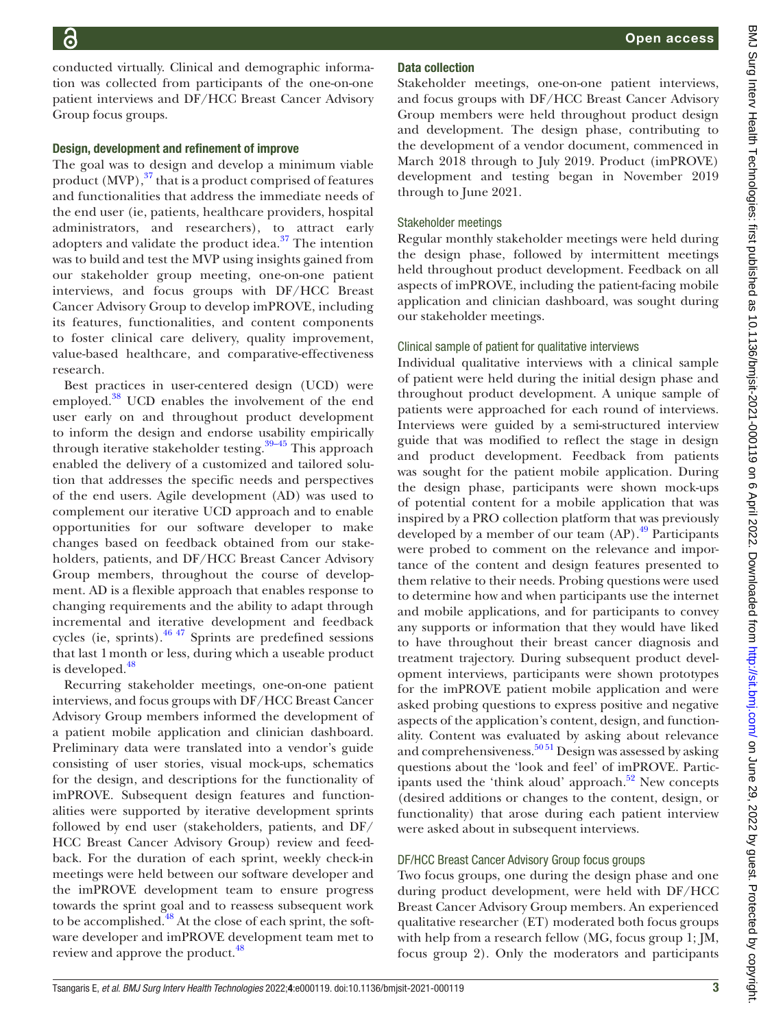conducted virtually. Clinical and demographic information was collected from participants of the one-on-one patient interviews and DF/HCC Breast Cancer Advisory Group focus groups.

#### Design, development and refinement of improve

The goal was to design and develop a minimum viable product  $(MVP)$ ,  $37$  that is a product comprised of features and functionalities that address the immediate needs of the end user (ie, patients, healthcare providers, hospital administrators, and researchers), to attract early adopters and validate the product idea.<sup>[37](#page-10-4)</sup> The intention was to build and test the MVP using insights gained from our stakeholder group meeting, one-on-one patient interviews, and focus groups with DF/HCC Breast Cancer Advisory Group to develop imPROVE, including its features, functionalities, and content components to foster clinical care delivery, quality improvement, value-based healthcare, and comparative-effectiveness research.

Best practices in user-centered design (UCD) were employed.<sup>[38](#page-10-5)</sup> UCD enables the involvement of the end user early on and throughout product development to inform the design and endorse usability empirically through iterative stakeholder testing.<sup>39–45</sup> This approach enabled the delivery of a customized and tailored solution that addresses the specific needs and perspectives of the end users. Agile development (AD) was used to complement our iterative UCD approach and to enable opportunities for our software developer to make changes based on feedback obtained from our stakeholders, patients, and DF/HCC Breast Cancer Advisory Group members, throughout the course of development. AD is a flexible approach that enables response to changing requirements and the ability to adapt through incremental and iterative development and feedback cycles (ie, sprints). $46\frac{47}{7}$  Sprints are predefined sessions that last 1month or less, during which a useable product is developed.<sup>[48](#page-10-8)</sup>

Recurring stakeholder meetings, one-on-one patient interviews, and focus groups with DF/HCC Breast Cancer Advisory Group members informed the development of a patient mobile application and clinician dashboard. Preliminary data were translated into a vendor's guide consisting of user stories, visual mock-ups, schematics for the design, and descriptions for the functionality of imPROVE. Subsequent design features and functionalities were supported by iterative development sprints followed by end user (stakeholders, patients, and DF/ HCC Breast Cancer Advisory Group) review and feedback. For the duration of each sprint, weekly check-in meetings were held between our software developer and the imPROVE development team to ensure progress towards the sprint goal and to reassess subsequent work to be accomplished.<sup>48</sup> At the close of each sprint, the software developer and imPROVE development team met to review and approve the product.<sup>[48](#page-10-8)</sup>

# Data collection

Stakeholder meetings, one-on-one patient interviews, and focus groups with DF/HCC Breast Cancer Advisory Group members were held throughout product design and development. The design phase, contributing to the development of a vendor document, commenced in March 2018 through to July 2019. Product (imPROVE) development and testing began in November 2019 through to June 2021.

### Stakeholder meetings

Regular monthly stakeholder meetings were held during the design phase, followed by intermittent meetings held throughout product development. Feedback on all aspects of imPROVE, including the patient-facing mobile application and clinician dashboard, was sought during our stakeholder meetings.

# Clinical sample of patient for qualitative interviews

Individual qualitative interviews with a clinical sample of patient were held during the initial design phase and throughout product development. A unique sample of patients were approached for each round of interviews. Interviews were guided by a semi-structured interview guide that was modified to reflect the stage in design and product development. Feedback from patients was sought for the patient mobile application. During the design phase, participants were shown mock-ups of potential content for a mobile application that was inspired by a PRO collection platform that was previously developed by a member of our team  $(AP)$ .<sup>[49](#page-10-9)</sup> Participants were probed to comment on the relevance and importance of the content and design features presented to them relative to their needs. Probing questions were used to determine how and when participants use the internet and mobile applications, and for participants to convey any supports or information that they would have liked to have throughout their breast cancer diagnosis and treatment trajectory. During subsequent product development interviews, participants were shown prototypes for the imPROVE patient mobile application and were asked probing questions to express positive and negative aspects of the application's content, design, and functionality. Content was evaluated by asking about relevance and comprehensiveness.<sup>50 51</sup> Design was assessed by asking questions about the 'look and feel' of imPROVE. Participants used the 'think aloud' approach. $52$  New concepts (desired additions or changes to the content, design, or functionality) that arose during each patient interview were asked about in subsequent interviews.

#### DF/HCC Breast Cancer Advisory Group focus groups

Two focus groups, one during the design phase and one during product development, were held with DF/HCC Breast Cancer Advisory Group members. An experienced qualitative researcher (ET) moderated both focus groups with help from a research fellow (MG, focus group 1; JM, focus group 2). Only the moderators and participants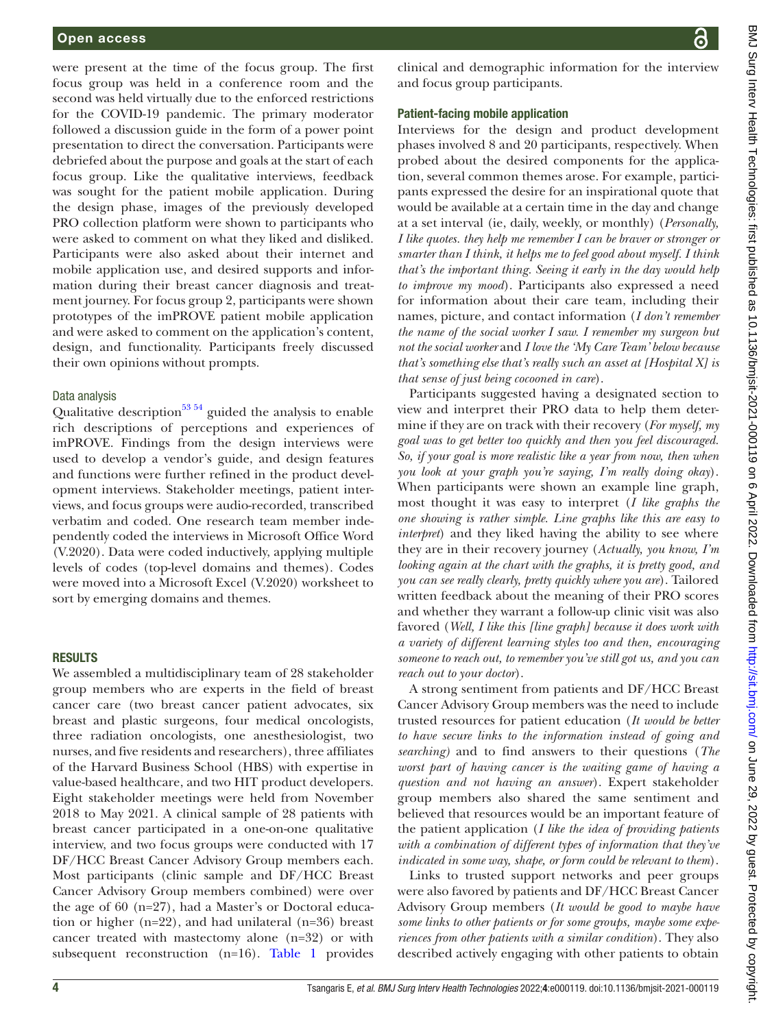were present at the time of the focus group. The first focus group was held in a conference room and the second was held virtually due to the enforced restrictions for the COVID-19 pandemic. The primary moderator followed a discussion guide in the form of a power point presentation to direct the conversation. Participants were debriefed about the purpose and goals at the start of each focus group. Like the qualitative interviews, feedback was sought for the patient mobile application. During the design phase, images of the previously developed PRO collection platform were shown to participants who were asked to comment on what they liked and disliked. Participants were also asked about their internet and mobile application use, and desired supports and information during their breast cancer diagnosis and treatment journey. For focus group 2, participants were shown prototypes of the imPROVE patient mobile application and were asked to comment on the application's content, design, and functionality. Participants freely discussed their own opinions without prompts.

#### Data analysis

Qualitative description<sup>53 54</sup> guided the analysis to enable rich descriptions of perceptions and experiences of imPROVE. Findings from the design interviews were used to develop a vendor's guide, and design features and functions were further refined in the product development interviews. Stakeholder meetings, patient interviews, and focus groups were audio-recorded, transcribed verbatim and coded. One research team member independently coded the interviews in Microsoft Office Word (V.2020). Data were coded inductively, applying multiple levels of codes (top-level domains and themes). Codes were moved into a Microsoft Excel (V.2020) worksheet to sort by emerging domains and themes.

#### **RESULTS**

We assembled a multidisciplinary team of 28 stakeholder group members who are experts in the field of breast cancer care (two breast cancer patient advocates, six breast and plastic surgeons, four medical oncologists, three radiation oncologists, one anesthesiologist, two nurses, and five residents and researchers), three affiliates of the Harvard Business School (HBS) with expertise in value-based healthcare, and two HIT product developers. Eight stakeholder meetings were held from November 2018 to May 2021. A clinical sample of 28 patients with breast cancer participated in a one-on-one qualitative interview, and two focus groups were conducted with 17 DF/HCC Breast Cancer Advisory Group members each. Most participants (clinic sample and DF/HCC Breast Cancer Advisory Group members combined) were over the age of 60 (n=27), had a Master's or Doctoral education or higher (n=22), and had unilateral (n=36) breast cancer treated with mastectomy alone (n=32) or with subsequent reconstruction (n=16). [Table](#page-4-0) 1 provides

clinical and demographic information for the interview and focus group participants.

### Patient-facing mobile application

Interviews for the design and product development phases involved 8 and 20 participants, respectively. When probed about the desired components for the application, several common themes arose. For example, participants expressed the desire for an inspirational quote that would be available at a certain time in the day and change at a set interval (ie, daily, weekly, or monthly) (*Personally, I like quotes. they help me remember I can be braver or stronger or smarter than I think, it helps me to feel good about myself. I think that's the important thing. Seeing it early in the day would help to improve my mood*). Participants also expressed a need for information about their care team, including their names, picture, and contact information (*I don't remember the name of the social worker I saw. I remember my surgeon but not the social worker* and *I love the 'My Care Team' below because that's something else that's really such an asset at [Hospital X] is that sense of just being cocooned in care*).

Participants suggested having a designated section to view and interpret their PRO data to help them determine if they are on track with their recovery (*For myself, my goal was to get better too quickly and then you feel discouraged. So, if your goal is more realistic like a year from now, then when you look at your graph you're saying, I'm really doing okay*). When participants were shown an example line graph, most thought it was easy to interpret (*I like graphs the one showing is rather simple. Line graphs like this are easy to interpret*) and they liked having the ability to see where they are in their recovery journey (*Actually, you know, I'm looking again at the chart with the graphs, it is pretty good, and you can see really clearly, pretty quickly where you are*). Tailored written feedback about the meaning of their PRO scores and whether they warrant a follow-up clinic visit was also favored (*Well, I like this [line graph] because it does work with a variety of different learning styles too and then, encouraging someone to reach out, to remember you've still got us, and you can reach out to your doctor*).

A strong sentiment from patients and DF/HCC Breast Cancer Advisory Group members was the need to include trusted resources for patient education (*It would be better to have secure links to the information instead of going and searching)* and to find answers to their questions (*The worst part of having cancer is the waiting game of having a question and not having an answer*). Expert stakeholder group members also shared the same sentiment and believed that resources would be an important feature of the patient application (*I like the idea of providing patients with a combination of different types of information that they've indicated in some way, shape, or form could be relevant to them*).

Links to trusted support networks and peer groups were also favored by patients and DF/HCC Breast Cancer Advisory Group members (*It would be good to maybe have some links to other patients or for some groups, maybe some experiences from other patients with a similar condition*). They also described actively engaging with other patients to obtain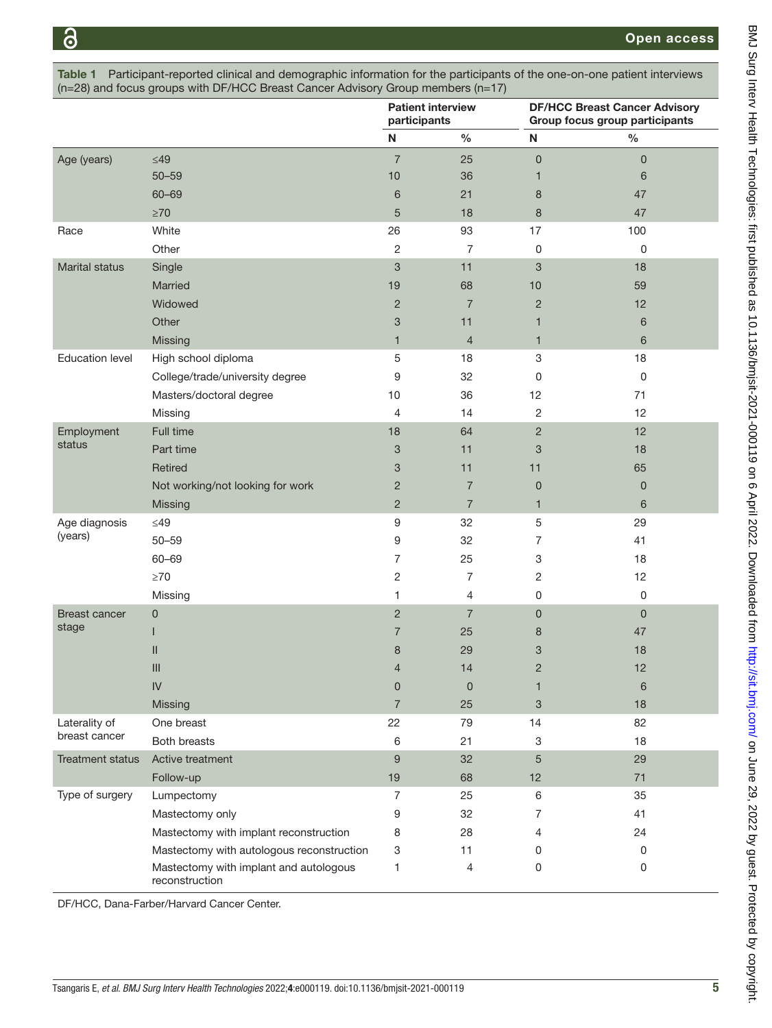<span id="page-4-0"></span>

|                                                                                     |                                                                                                                     | <b>Patient interview</b><br>المتقادم والمنافية فيقدرها وبالمراج | <b>DF/HCC Breast Cancer Advisory</b><br>And the first company is subjected and a |  |  |  |
|-------------------------------------------------------------------------------------|---------------------------------------------------------------------------------------------------------------------|-----------------------------------------------------------------|----------------------------------------------------------------------------------|--|--|--|
| $(n=28)$ and focus groups with DF/HCC Breast Cancer Advisory Group members $(n=17)$ |                                                                                                                     |                                                                 |                                                                                  |  |  |  |
| <b>Table 1</b>                                                                      | Participant-reported clinical and demographic information for the participants of the one-on-one patient interviews |                                                                 |                                                                                  |  |  |  |

|                               |                                                          |                           | participants   |                | Group focus group participants |  |
|-------------------------------|----------------------------------------------------------|---------------------------|----------------|----------------|--------------------------------|--|
|                               |                                                          | N                         | $\%$           | N              | $\%$                           |  |
| Age (years)                   | $\leq$ 49                                                | $\overline{7}$            | 25             | $\mathsf 0$    | $\mathsf 0$                    |  |
|                               | $50 - 59$                                                | 10                        | 36             | 1              | 6                              |  |
|                               | $60 - 69$                                                | 6                         | 21             | 8              | 47                             |  |
|                               | $\geq 70$                                                | 5                         | 18             | 8              | 47                             |  |
| Race                          | White                                                    | 26                        | 93             | 17             | 100                            |  |
|                               | Other                                                    | 2                         | 7              | 0              | 0                              |  |
| <b>Marital status</b>         | Single                                                   | 3                         | 11             | 3              | 18                             |  |
|                               | Married                                                  | 19                        | 68             | 10             | 59                             |  |
|                               | Widowed                                                  | $\overline{2}$            | $\overline{7}$ | $\overline{2}$ | 12                             |  |
|                               | Other                                                    | $\ensuremath{\mathsf{3}}$ | 11             | $\mathbf{1}$   | 6                              |  |
|                               | Missing                                                  | 1                         | $\overline{4}$ | $\mathbf{1}$   | 6                              |  |
| <b>Education level</b>        | High school diploma                                      | 5                         | 18             | 3              | 18                             |  |
|                               | College/trade/university degree                          | 9                         | 32             | 0              | 0                              |  |
|                               | Masters/doctoral degree                                  | 10                        | 36             | 12             | 71                             |  |
|                               | Missing                                                  | 4                         | 14             | $\overline{c}$ | 12                             |  |
| Employment                    | Full time                                                | 18                        | 64             | $\overline{2}$ | 12                             |  |
| status                        | Part time                                                | 3                         | 11             | 3              | 18                             |  |
|                               | Retired                                                  | 3                         | 11             | 11             | 65                             |  |
|                               | Not working/not looking for work                         | $\overline{c}$            | $\overline{7}$ | 0              | $\pmb{0}$                      |  |
|                               | Missing                                                  | $\overline{2}$            | $\overline{7}$ | $\mathbf{1}$   | 6                              |  |
| Age diagnosis                 | $\leq$ 49                                                | 9                         | 32             | 5              | 29                             |  |
| (years)                       | $50 - 59$                                                | 9                         | 32             | 7              | 41                             |  |
|                               | $60 - 69$                                                | $\overline{7}$            | 25             | 3              | 18                             |  |
|                               | $\geq$ 70                                                | 2                         | 7              | 2              | 12                             |  |
|                               | Missing                                                  | 1                         | 4              | 0              | $\mathsf 0$                    |  |
| <b>Breast cancer</b><br>stage | 0                                                        | $\overline{2}$            | $\overline{7}$ | 0              | $\mathbf 0$                    |  |
|                               |                                                          | 7                         | 25             | 8              | 47                             |  |
|                               | Ш                                                        | 8                         | 29             | 3              | 18                             |  |
|                               | III                                                      | 4                         | 14             | $\overline{c}$ | 12                             |  |
|                               | IV                                                       | 0                         | $\mathbf 0$    | 1              | 6                              |  |
|                               | Missing                                                  | $\overline{7}$            | 25             | 3              | 18                             |  |
| Laterality of                 | One breast                                               | 22                        | 79             | 14             | 82                             |  |
| breast cancer                 | Both breasts                                             | 6                         | 21             | 3              | 18                             |  |
| <b>Treatment status</b>       | Active treatment                                         | $\boldsymbol{9}$          | 32             | $\sqrt{5}$     | 29                             |  |
|                               | Follow-up                                                | 19                        | 68             | 12             | 71                             |  |
| Type of surgery               | Lumpectomy                                               | 7                         | 25             | 6              | 35                             |  |
|                               | Mastectomy only                                          | 9                         | 32             | 7              | 41                             |  |
|                               | Mastectomy with implant reconstruction                   | 8                         | 28             | 4              | 24                             |  |
|                               | Mastectomy with autologous reconstruction                | 3                         | 11             | 0              | 0                              |  |
|                               | Mastectomy with implant and autologous<br>reconstruction | 1                         | 4              | 0              | 0                              |  |

DF/HCC, Dana-Farber/Harvard Cancer Center.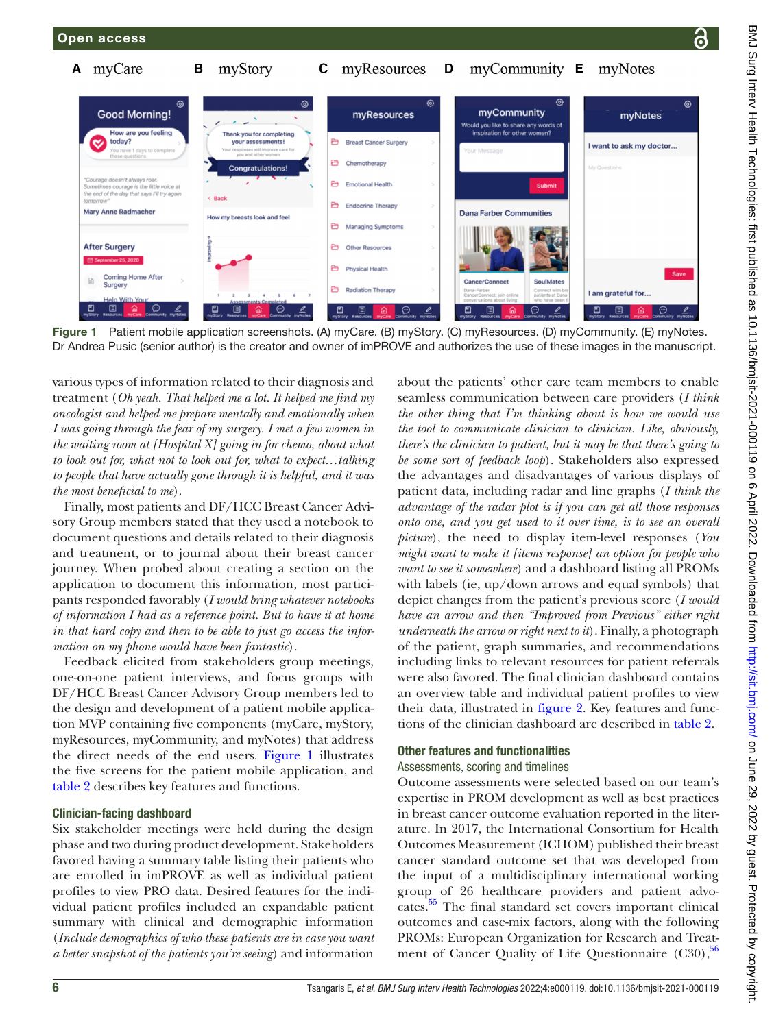

<span id="page-5-0"></span>Figure 1 Patient mobile application screenshots. (A) myCare. (B) myStory. (C) myResources. (D) myCommunity. (E) myNotes. Dr Andrea Pusic (senior author) is the creator and owner of imPROVE and authorizes the use of these images in the manuscript.

various types of information related to their diagnosis and treatment (*Oh yeah. That helped me a lot. It helped me find my oncologist and helped me prepare mentally and emotionally when I was going through the fear of my surgery. I met a few women in the waiting room at [Hospital X] going in for chemo, about what to look out for, what not to look out for, what to expect…talking to people that have actually gone through it is helpful, and it was the most beneficial to me*).

Finally, most patients and DF/HCC Breast Cancer Advisory Group members stated that they used a notebook to document questions and details related to their diagnosis and treatment, or to journal about their breast cancer journey. When probed about creating a section on the application to document this information, most participants responded favorably (*I would bring whatever notebooks of information I had as a reference point. But to have it at home in that hard copy and then to be able to just go access the information on my phone would have been fantastic*).

Feedback elicited from stakeholders group meetings, one-on-one patient interviews, and focus groups with DF/HCC Breast Cancer Advisory Group members led to the design and development of a patient mobile application MVP containing five components (myCare, myStory, myResources, myCommunity, and myNotes) that address the direct needs of the end users. [Figure](#page-5-0) 1 illustrates the five screens for the patient mobile application, and [table](#page-6-0) 2 describes key features and functions.

#### Clinician-facing dashboard

Six stakeholder meetings were held during the design phase and two during product development. Stakeholders favored having a summary table listing their patients who are enrolled in imPROVE as well as individual patient profiles to view PRO data. Desired features for the individual patient profiles included an expandable patient summary with clinical and demographic information (*Include demographics of who these patients are in case you want a better snapshot of the patients you're seeing*) and information

about the patients' other care team members to enable seamless communication between care providers (*I think the other thing that I'm thinking about is how we would use the tool to communicate clinician to clinician. Like, obviously, there's the clinician to patient, but it may be that there's going to be some sort of feedback loop*). Stakeholders also expressed the advantages and disadvantages of various displays of patient data, including radar and line graphs (*I think the advantage of the radar plot is if you can get all those responses onto one, and you get used to it over time, is to see an overall picture*), the need to display item-level responses (*You might want to make it [items response] an option for people who want to see it somewhere*) and a dashboard listing all PROMs with labels (ie, up/down arrows and equal symbols) that depict changes from the patient's previous score (*I would have an arrow and then "Improved from Previous" either right underneath the arrow or right next to it*). Finally, a photograph of the patient, graph summaries, and recommendations including links to relevant resources for patient referrals were also favored. The final clinician dashboard contains an overview table and individual patient profiles to view their data, illustrated in [figure](#page-7-0) 2. Key features and functions of the clinician dashboard are described in [table](#page-6-0) 2.

# Other features and functionalities

# Assessments, scoring and timelines

Outcome assessments were selected based on our team's expertise in PROM development as well as best practices in breast cancer outcome evaluation reported in the literature. In 2017, the International Consortium for Health Outcomes Measurement (ICHOM) published their breast cancer standard outcome set that was developed from the input of a multidisciplinary international working group of 26 healthcare providers and patient advocates.<sup>55</sup> The final standard set covers important clinical outcomes and case-mix factors, along with the following PROMs: European Organization for Research and Treatment of Cancer Quality of Life Questionnaire  $(C30)$ ,  $56$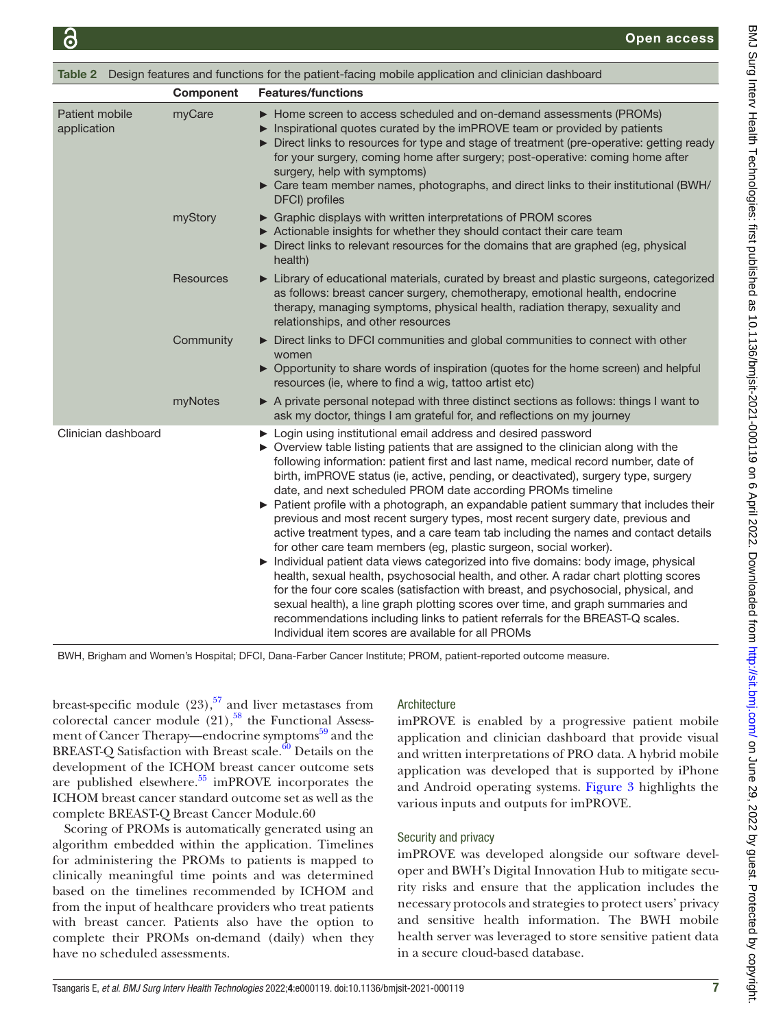<span id="page-6-0"></span>

| Table 2 Design features and functions for the patient-facing mobile application and clinician dashboard |                  |                                                                                                                                                                                                                                                                                                                                                                                                                                                                                                                                                                                                                                                                                                                                                                                                                                                                                                                                                                                                                                                                                                                                                                                                                                        |  |  |  |
|---------------------------------------------------------------------------------------------------------|------------------|----------------------------------------------------------------------------------------------------------------------------------------------------------------------------------------------------------------------------------------------------------------------------------------------------------------------------------------------------------------------------------------------------------------------------------------------------------------------------------------------------------------------------------------------------------------------------------------------------------------------------------------------------------------------------------------------------------------------------------------------------------------------------------------------------------------------------------------------------------------------------------------------------------------------------------------------------------------------------------------------------------------------------------------------------------------------------------------------------------------------------------------------------------------------------------------------------------------------------------------|--|--|--|
|                                                                                                         | <b>Component</b> | <b>Features/functions</b>                                                                                                                                                                                                                                                                                                                                                                                                                                                                                                                                                                                                                                                                                                                                                                                                                                                                                                                                                                                                                                                                                                                                                                                                              |  |  |  |
| Patient mobile<br>application                                                                           | myCare           | > Home screen to access scheduled and on-demand assessments (PROMs)<br>Inspirational quotes curated by the imPROVE team or provided by patients<br>Direct links to resources for type and stage of treatment (pre-operative: getting ready<br>for your surgery, coming home after surgery; post-operative: coming home after<br>surgery, help with symptoms)<br>> Care team member names, photographs, and direct links to their institutional (BWH/<br>DFCI) profiles                                                                                                                                                                                                                                                                                                                                                                                                                                                                                                                                                                                                                                                                                                                                                                 |  |  |  |
|                                                                                                         | myStory          | ▶ Graphic displays with written interpretations of PROM scores<br>► Actionable insights for whether they should contact their care team<br>Direct links to relevant resources for the domains that are graphed (eg, physical<br>health)                                                                                                                                                                                                                                                                                                                                                                                                                                                                                                                                                                                                                                                                                                                                                                                                                                                                                                                                                                                                |  |  |  |
|                                                                                                         | <b>Resources</b> | Library of educational materials, curated by breast and plastic surgeons, categorized<br>as follows: breast cancer surgery, chemotherapy, emotional health, endocrine<br>therapy, managing symptoms, physical health, radiation therapy, sexuality and<br>relationships, and other resources                                                                                                                                                                                                                                                                                                                                                                                                                                                                                                                                                                                                                                                                                                                                                                                                                                                                                                                                           |  |  |  |
|                                                                                                         | Community        | Direct links to DFCI communities and global communities to connect with other<br>women<br>▶ Opportunity to share words of inspiration (quotes for the home screen) and helpful<br>resources (ie, where to find a wig, tattoo artist etc)                                                                                                                                                                                                                                                                                                                                                                                                                                                                                                                                                                                                                                                                                                                                                                                                                                                                                                                                                                                               |  |  |  |
|                                                                                                         | myNotes          | A private personal notepad with three distinct sections as follows: things I want to<br>ask my doctor, things I am grateful for, and reflections on my journey                                                                                                                                                                                                                                                                                                                                                                                                                                                                                                                                                                                                                                                                                                                                                                                                                                                                                                                                                                                                                                                                         |  |  |  |
| Clinician dashboard                                                                                     |                  | ▶ Login using institutional email address and desired password<br>• Overview table listing patients that are assigned to the clinician along with the<br>following information: patient first and last name, medical record number, date of<br>birth, imPROVE status (ie, active, pending, or deactivated), surgery type, surgery<br>date, and next scheduled PROM date according PROMs timeline<br>▶ Patient profile with a photograph, an expandable patient summary that includes their<br>previous and most recent surgery types, most recent surgery date, previous and<br>active treatment types, and a care team tab including the names and contact details<br>for other care team members (eg, plastic surgeon, social worker).<br>Individual patient data views categorized into five domains: body image, physical<br>health, sexual health, psychosocial health, and other. A radar chart plotting scores<br>for the four core scales (satisfaction with breast, and psychosocial, physical, and<br>sexual health), a line graph plotting scores over time, and graph summaries and<br>recommendations including links to patient referrals for the BREAST-Q scales.<br>Individual item scores are available for all PROMs |  |  |  |

BWH, Brigham and Women's Hospital; DFCI, Dana-Farber Cancer Institute; PROM, patient-reported outcome measure.

breast-specific module  $(23)$ ,<sup>[57](#page-10-15)</sup> and liver metastases from colorectal cancer module  $(21)$ ,<sup>58</sup> the Functional Assessment of Cancer Therapy—endocrine symptoms<sup>59</sup> and the BREAST-Q Satisfaction with Breast scale. $60$  Details on the development of the ICHOM breast cancer outcome sets are published elsewhere.<sup>55</sup> imPROVE incorporates the ICHOM breast cancer standard outcome set as well as the complete BREAST-Q Breast Cancer Module.60

Scoring of PROMs is automatically generated using an algorithm embedded within the application. Timelines for administering the PROMs to patients is mapped to clinically meaningful time points and was determined based on the timelines recommended by ICHOM and from the input of healthcare providers who treat patients with breast cancer. Patients also have the option to complete their PROMs on-demand (daily) when they have no scheduled assessments.

# Architecture

imPROVE is enabled by a progressive patient mobile application and clinician dashboard that provide visual and written interpretations of PRO data. A hybrid mobile application was developed that is supported by iPhone and Android operating systems. [Figure](#page-7-1) 3 highlights the various inputs and outputs for imPROVE.

# Security and privacy

imPROVE was developed alongside our software developer and BWH's Digital Innovation Hub to mitigate security risks and ensure that the application includes the necessary protocols and strategies to protect users' privacy and sensitive health information. The BWH mobile health server was leveraged to store sensitive patient data in a secure cloud-based database.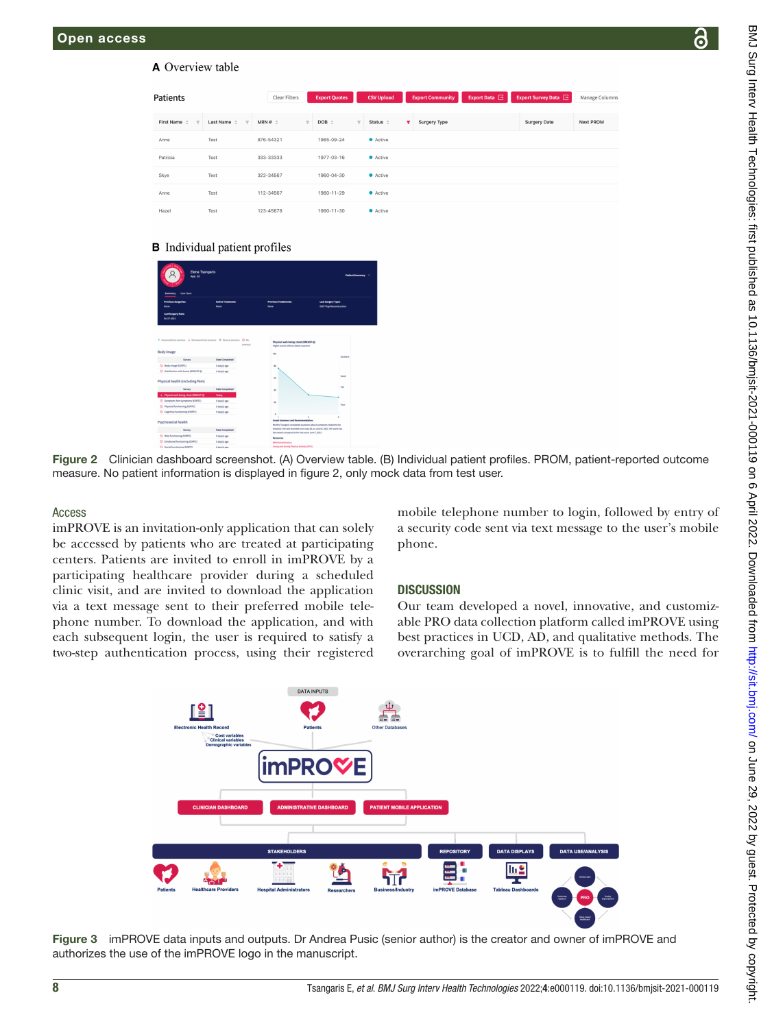#### **A** Overview table

| <b>Patients</b>                                  |                                                     | Clear Filters | <b>Export Quotes</b>               | <b>CSV Upload</b>                        | <b>Export Community</b> | Export Data $\Xi$ | Export Survey Data E | Manage Columns   |
|--------------------------------------------------|-----------------------------------------------------|---------------|------------------------------------|------------------------------------------|-------------------------|-------------------|----------------------|------------------|
| First Name $\hat{z}$<br>$\overline{\phantom{a}}$ | Last Name<br>$\triangle$<br>$\overline{\mathbf{v}}$ | $MRN # =$     | $DOB =$<br>$\overline{\mathbf{v}}$ | Status $\div$<br>$\overline{\mathbf{v}}$ | v.<br>Surgery Type      |                   | <b>Surgery Date</b>  | <b>Next PROM</b> |
| Anne                                             | Test                                                | 876-54321     | 1985-09-24                         | • Active                                 |                         |                   |                      |                  |
| Patricia                                         | Test                                                | 333-33333     | 1977-03-16                         | • Active                                 |                         |                   |                      |                  |
| Skye                                             | Test                                                | 322-34567     | 1960-04-30                         | • Active                                 |                         |                   |                      |                  |
| Anne                                             | Test                                                | 112-34567     | 1980-11-29                         | • Active                                 |                         |                   |                      |                  |
| Hazel                                            | Test                                                | 123-45678     | 1990-11-30                         | • Active                                 |                         |                   |                      |                  |

#### **B** Individual patient profiles

| <b>Elena Tsangaris</b><br>Age: 30<br><b>Care Team</b><br><b>Summary</b>                                        |                                  |                                                                                                                    | <b>Patient Summary</b>                                |  |  |
|----------------------------------------------------------------------------------------------------------------|----------------------------------|--------------------------------------------------------------------------------------------------------------------|-------------------------------------------------------|--|--|
| <b>Previous Surgeries:</b><br>None                                                                             | <b>Artive Treatment:</b><br>None | <b>Previous Treatments:</b><br>None                                                                                | <b>Last Surgery Type:</b><br>DIEP Flap Reconstruction |  |  |
| <b>Last Surgery Date:</b><br>04-27-3021                                                                        |                                  |                                                                                                                    |                                                       |  |  |
| $\uparrow$ Improved since previous $\downarrow$ Decreased since previous $\Box$ Same as previous<br>Body image | $Q$ No<br>previous               | Physical well-being: chest (BREAST-Q)<br>Higher scores reflect a better outcome<br>100                             |                                                       |  |  |
| Survey                                                                                                         | <b>Date Completed</b>            |                                                                                                                    | Excellent                                             |  |  |
| C Body image (EDRTC)                                                                                           | 5 day(s) ago                     | $\omega$                                                                                                           |                                                       |  |  |
| C Satisfaction with breast IBREAST-01                                                                          | 5 day(s) ago                     |                                                                                                                    |                                                       |  |  |
| Physical health (including Pain)                                                                               |                                  | $\omega$                                                                                                           | Good                                                  |  |  |
| Survey                                                                                                         | <b>Date Completed</b>            | $\bullet$                                                                                                          | Eain                                                  |  |  |
| 6 Physical well-being: chest (BREAST-Q)                                                                        | Today                            |                                                                                                                    |                                                       |  |  |
| Symptom: Arm symptoms (EORTC)                                                                                  | 5 day(s) ago                     |                                                                                                                    |                                                       |  |  |
| C Physical functioning (EORTC)                                                                                 | 5-day(s) ago                     | 10                                                                                                                 | Poor                                                  |  |  |
| C Cognitive functioning (EORTC)                                                                                | 5 day(s) ago                     |                                                                                                                    |                                                       |  |  |
| Psychosocial health                                                                                            |                                  | <b>d</b><br>Graph Summary and Recommendation:<br>MuMrs Trangaris completed questions about symptoms related to her | ×                                                     |  |  |
| Survey                                                                                                         | <b>Dute Completed</b>            | breast(s). Her last recorded score was 28, on June 8, 2021. Her score has                                          |                                                       |  |  |
| <sup>O</sup> Role functioning (EORTC)                                                                          | 5 day(s) ago                     | decreased compared to her last score June 7, 2021                                                                  |                                                       |  |  |
| C Emotional functioning (EORTC)                                                                                | 5 day(s) ago                     | <b>Bestonies</b><br><b>Bank Rehabilitation</b>                                                                     |                                                       |  |  |
|                                                                                                                |                                  | ----<br>-------                                                                                                    |                                                       |  |  |

Figure 2 Clinician dashboard screenshot. (A) Overview table. (B) Individual patient profiles. PROM, patient-reported outcome measure. No patient information is displayed in [figure 2,](#page-7-0) only mock data from test user.

#### Access

imPROVE is an invitation-only application that can solely be accessed by patients who are treated at participating centers. Patients are invited to enroll in imPROVE by a participating healthcare provider during a scheduled clinic visit, and are invited to download the application via a text message sent to their preferred mobile telephone number. To download the application, and with each subsequent login, the user is required to satisfy a two-step authentication process, using their registered

<span id="page-7-0"></span>mobile telephone number to login, followed by entry of a security code sent via text message to the user's mobile phone.

#### **DISCUSSION**

Our team developed a novel, innovative, and customizable PRO data collection platform called imPROVE using best practices in UCD, AD, and qualitative methods. The overarching goal of imPROVE is to fulfill the need for



<span id="page-7-1"></span>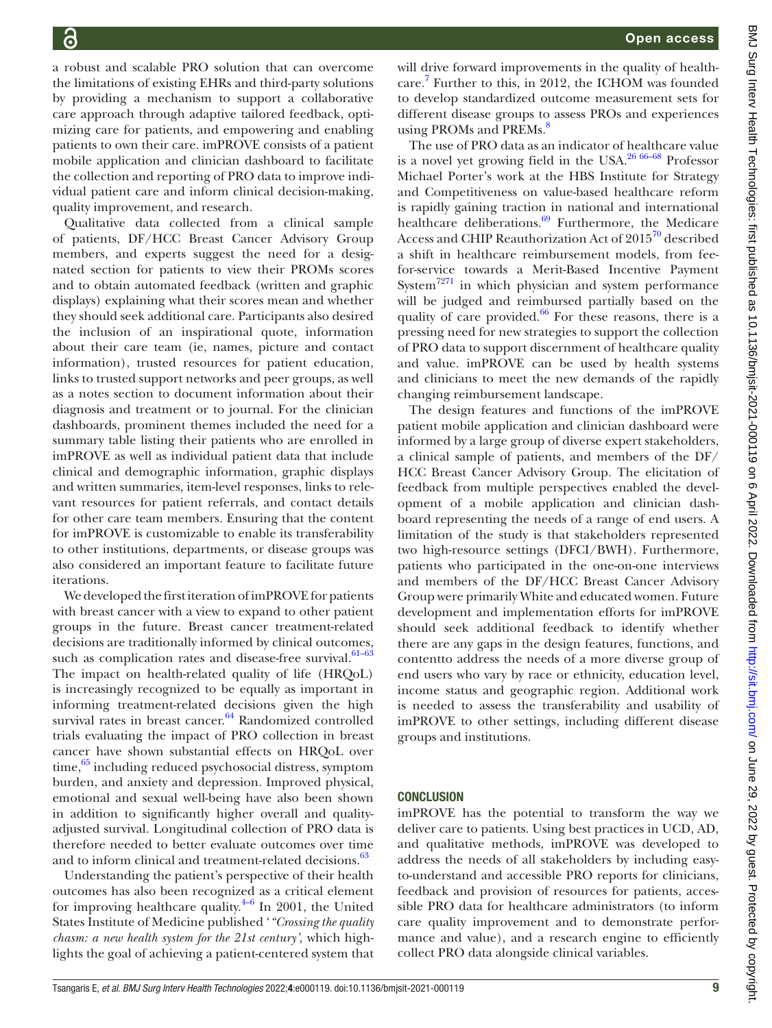a robust and scalable PRO solution that can overcome the limitations of existing EHRs and third-party solutions by providing a mechanism to support a collaborative care approach through adaptive tailored feedback, optimizing care for patients, and empowering and enabling patients to own their care. imPROVE consists of a patient mobile application and clinician dashboard to facilitate the collection and reporting of PRO data to improve individual patient care and inform clinical decision-making, quality improvement, and research.

Qualitative data collected from a clinical sample of patients, DF/HCC Breast Cancer Advisory Group members, and experts suggest the need for a designated section for patients to view their PROMs scores and to obtain automated feedback (written and graphic displays) explaining what their scores mean and whether they should seek additional care. Participants also desired the inclusion of an inspirational quote, information about their care team (ie, names, picture and contact information), trusted resources for patient education, links to trusted support networks and peer groups, as well as a notes section to document information about their diagnosis and treatment or to journal. For the clinician dashboards, prominent themes included the need for a summary table listing their patients who are enrolled in imPROVE as well as individual patient data that include clinical and demographic information, graphic displays and written summaries, item-level responses, links to relevant resources for patient referrals, and contact details for other care team members. Ensuring that the content for imPROVE is customizable to enable its transferability to other institutions, departments, or disease groups was also considered an important feature to facilitate future iterations.

We developed the first iteration of imPROVE for patients with breast cancer with a view to expand to other patient groups in the future. Breast cancer treatment-related decisions are traditionally informed by clinical outcomes, such as complication rates and disease-free survival.<sup>61-63</sup> The impact on health-related quality of life (HRQoL) is increasingly recognized to be equally as important in informing treatment-related decisions given the high survival rates in breast cancer.<sup>64</sup> Randomized controlled trials evaluating the impact of PRO collection in breast cancer have shown substantial effects on HRQoL over time,<sup>65</sup> including reduced psychosocial distress, symptom burden, and anxiety and depression. Improved physical, emotional and sexual well-being have also been shown in addition to significantly higher overall and qualityadjusted survival. Longitudinal collection of PRO data is therefore needed to better evaluate outcomes over time and to inform clinical and treatment-related decisions.<sup>[63](#page-10-22)</sup>

Understanding the patient's perspective of their health outcomes has also been recognized as a critical element for improving healthcare quality. $4-6$  In 2001, the United States Institute of Medicine published '*"Crossing the quality chasm: a new health system for the 21st century',* which highlights the goal of achieving a patient-centered system that

will drive forward improvements in the quality of healthcare. [7](#page-9-2) Further to this, in 2012, the ICHOM was founded to develop standardized outcome measurement sets for different disease groups to assess PROs and experiences using PROMs and PREMs.<sup>[8](#page-9-13)</sup>

The use of PRO data as an indicator of healthcare value is a novel yet growing field in the USA.<sup>26 66-68</sup> Professor Michael Porter's work at the HBS Institute for Strategy and Competitiveness on value-based healthcare reform is rapidly gaining traction in national and international healthcare deliberations.<sup>69</sup> Furthermore, the Medicare Access and CHIP Reauthorization Act of 2015<sup>70</sup> described a shift in healthcare reimbursement models, from feefor-service towards a Merit-Based Incentive Payment System<sup>72[71](#page-10-25)</sup> in which physician and system performance will be judged and reimbursed partially based on the quality of care provided. $66$  For these reasons, there is a pressing need for new strategies to support the collection of PRO data to support discernment of healthcare quality and value. imPROVE can be used by health systems and clinicians to meet the new demands of the rapidly changing reimbursement landscape.

The design features and functions of the imPROVE patient mobile application and clinician dashboard were informed by a large group of diverse expert stakeholders, a clinical sample of patients, and members of the DF/ HCC Breast Cancer Advisory Group. The elicitation of feedback from multiple perspectives enabled the development of a mobile application and clinician dashboard representing the needs of a range of end users. A limitation of the study is that stakeholders represented two high-resource settings (DFCI/BWH). Furthermore, patients who participated in the one-on-one interviews and members of the DF/HCC Breast Cancer Advisory Group were primarily White and educated women. Future development and implementation efforts for imPROVE should seek additional feedback to identify whether there are any gaps in the design features, functions, and contentto address the needs of a more diverse group of end users who vary by race or ethnicity, education level, income status and geographic region. Additional work is needed to assess the transferability and usability of imPROVE to other settings, including different disease groups and institutions.

#### CONCLUSION

imPROVE has the potential to transform the way we deliver care to patients. Using best practices in UCD, AD, and qualitative methods, imPROVE was developed to address the needs of all stakeholders by including easyto-understand and accessible PRO reports for clinicians, feedback and provision of resources for patients, accessible PRO data for healthcare administrators (to inform care quality improvement and to demonstrate performance and value), and a research engine to efficiently collect PRO data alongside clinical variables.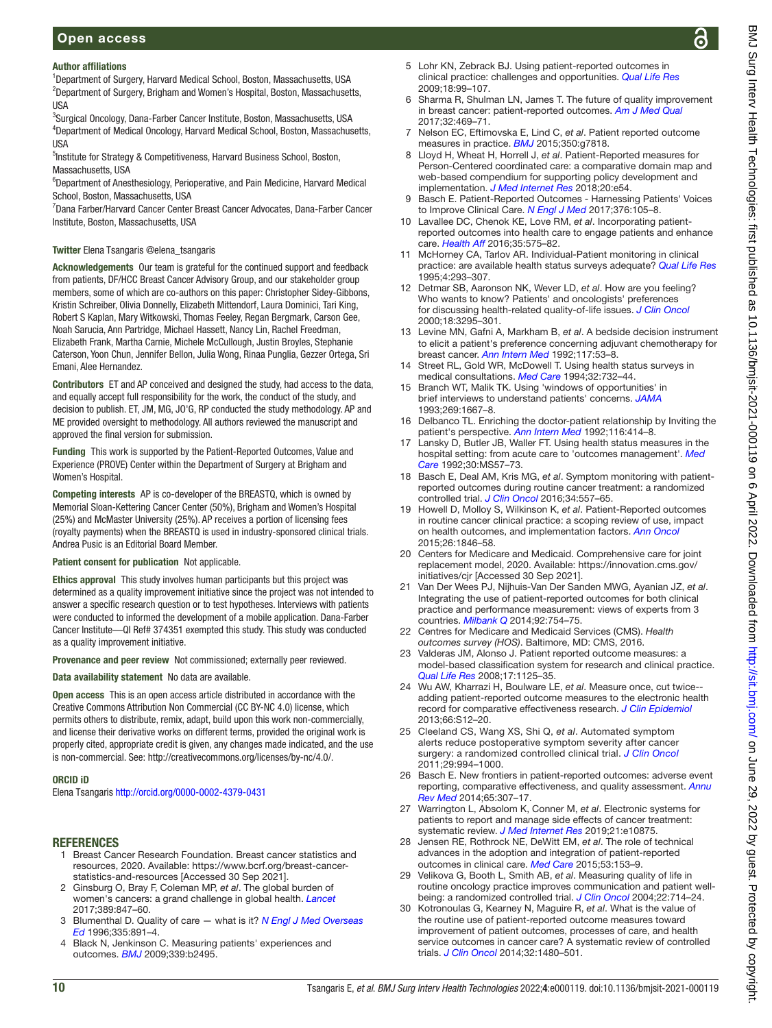BMJ Surg Interv Health Technologies: first published as 10.1136/bmjsit-2021-000119 on 6 April 2022. Downloaded from http://sit.bmj.com/ on June 29, 2022 by guest. Protected by copyright BMJ Surg Interv Health Technologies: first published as 10.1136/bmjsit-2021-000119 on 6 April 2022. Downloaded from Intervisit.bmj.com/ on June 29, 2022 by guest. Protected by copyright.

# Author affiliations

<sup>1</sup>Department of Surgery, Harvard Medical School, Boston, Massachusetts, USA <sup>2</sup>Department of Surgery, Brigham and Women's Hospital, Boston, Massachusetts, USA

<sup>3</sup>Surgical Oncology, Dana-Farber Cancer Institute, Boston, Massachusetts, USA 4 Department of Medical Oncology, Harvard Medical School, Boston, Massachusetts, **IISA** 

<sup>5</sup>Institute for Strategy & Competitiveness, Harvard Business School, Boston, Massachusetts, USA

<sup>6</sup>Department of Anesthesiology, Perioperative, and Pain Medicine, Harvard Medical School, Boston, Massachusetts, USA

7 Dana Farber/Harvard Cancer Center Breast Cancer Advocates, Dana-Farber Cancer Institute, Boston, Massachusetts, USA

### Twitter Elena Tsangaris [@elena\\_tsangaris](https://twitter.com/elena_tsangaris)

Acknowledgements Our team is grateful for the continued support and feedback from patients, DF/HCC Breast Cancer Advisory Group, and our stakeholder group members, some of which are co-authors on this paper: Christopher Sidey-Gibbons, Kristin Schreiber, Olivia Donnelly, Elizabeth Mittendorf, Laura Dominici, Tari King, Robert S Kaplan, Mary Witkowski, Thomas Feeley, Regan Bergmark, Carson Gee, Noah Sarucia, Ann Partridge, Michael Hassett, Nancy Lin, Rachel Freedman, Elizabeth Frank, Martha Carnie, Michele McCullough, Justin Broyles, Stephanie Caterson, Yoon Chun, Jennifer Bellon, Julia Wong, Rinaa Punglia, Gezzer Ortega, Sri Emani, Alee Hernandez.

Contributors ET and AP conceived and designed the study, had access to the data, and equally accept full responsibility for the work, the conduct of the study, and decision to publish. ET, JM, MG, JO'G, RP conducted the study methodology. AP and ME provided oversight to methodology. All authors reviewed the manuscript and approved the final version for submission.

Funding This work is supported by the Patient-Reported Outcomes, Value and Experience (PROVE) Center within the Department of Surgery at Brigham and Women's Hospital.

Competing interests AP is co-developer of the BREASTQ, which is owned by Memorial Sloan-Kettering Cancer Center (50%), Brigham and Women's Hospital (25%) and McMaster University (25%). AP receives a portion of licensing fees (royalty payments) when the BREASTQ is used in industry-sponsored clinical trials. Andrea Pusic is an Editorial Board Member.

#### Patient consent for publication Not applicable.

Ethics approval This study involves human participants but this project was determined as a quality improvement initiative since the project was not intended to answer a specific research question or to test hypotheses. Interviews with patients were conducted to informed the development of a mobile application. Dana-Farber Cancer Institute—QI Ref# 374351 exempted this study. This study was conducted as a quality improvement initiative.

Provenance and peer review Not commissioned; externally peer reviewed.

Data availability statement No data are available.

Open access This is an open access article distributed in accordance with the Creative Commons Attribution Non Commercial (CC BY-NC 4.0) license, which permits others to distribute, remix, adapt, build upon this work non-commercially, and license their derivative works on different terms, provided the original work is properly cited, appropriate credit is given, any changes made indicated, and the use is non-commercial. See: [http://creativecommons.org/licenses/by-nc/4.0/.](http://creativecommons.org/licenses/by-nc/4.0/)

#### ORCID iD

Elena Tsangaris<http://orcid.org/0000-0002-4379-0431>

# **REFERENCES**

- <span id="page-9-0"></span>1 Breast Cancer Research Foundation. Breast cancer statistics and resources, 2020. Available: [https://www.bcrf.org/breast-cancer](https://www.bcrf.org/breast-cancer-statistics-and-resources)[statistics-and-resources](https://www.bcrf.org/breast-cancer-statistics-and-resources) [Accessed 30 Sep 2021].
- 2 Ginsburg O, Bray F, Coleman MP, *et al*. The global burden of women's cancers: a grand challenge in global health. *[Lancet](http://dx.doi.org/10.1016/S0140-6736(16)31392-7)* 2017;389:847–60.
- <span id="page-9-1"></span>3 Blumenthal D. Quality of care — what is it? *[N Engl J Med Overseas](http://dx.doi.org/10.1056/NEJM199609193351213)  [Ed](http://dx.doi.org/10.1056/NEJM199609193351213)* 1996;335:891–4.
- <span id="page-9-12"></span>4 Black N, Jenkinson C. Measuring patients' experiences and outcomes. *[BMJ](http://dx.doi.org/10.1136/bmj.b2495)* 2009;339:b2495.
- 5 Lohr KN, Zebrack BJ. Using patient-reported outcomes in clinical practice: challenges and opportunities. *[Qual Life Res](http://dx.doi.org/10.1007/s11136-008-9413-7)* 2009;18:99–107.
- 6 Sharma R, Shulman LN, James T. The future of quality improvement in breast cancer: patient-reported outcomes. *[Am J Med Qual](http://dx.doi.org/10.1177/1062860617723707)* 2017;32:469–71.
- <span id="page-9-2"></span>7 Nelson EC, Eftimovska E, Lind C, *et al*. Patient reported outcome measures in practice. *[BMJ](http://dx.doi.org/10.1136/bmj.g7818)* 2015;350:g7818.
- <span id="page-9-13"></span>8 Lloyd H, Wheat H, Horrell J, *et al*. Patient-Reported measures for Person-Centered coordinated care: a comparative domain map and web-based compendium for supporting policy development and implementation. *[J Med Internet Res](http://dx.doi.org/10.2196/jmir.7789)* 2018;20:e54.
- <span id="page-9-3"></span>9 Basch E. Patient-Reported Outcomes - Harnessing Patients' Voices to Improve Clinical Care. *[N Engl J Med](http://dx.doi.org/10.1056/NEJMp1611252)* 2017;376:105–8.
- <span id="page-9-9"></span>10 Lavallee DC, Chenok KE, Love RM, *et al*. Incorporating patientreported outcomes into health care to engage patients and enhance care. *[Health Aff](http://dx.doi.org/10.1377/hlthaff.2015.1362)* 2016;35:575–82.
- 11 McHorney CA, Tarlov AR. Individual-Patient monitoring in clinical practice: are available health status surveys adequate? *[Qual Life Res](http://dx.doi.org/10.1007/BF01593882)* 1995;4:293–307.
- 12 Detmar SB, Aaronson NK, Wever LD, *et al*. How are you feeling? Who wants to know? Patients' and oncologists' preferences for discussing health-related quality-of-life issues. *[J Clin Oncol](http://dx.doi.org/10.1200/JCO.2000.18.18.3295)* 2000;18:3295–301.
- 13 Levine MN, Gafni A, Markham B, *et al*. A bedside decision instrument to elicit a patient's preference concerning adjuvant chemotherapy for breast cancer. *[Ann Intern Med](http://dx.doi.org/10.7326/0003-4819-117-1-53)* 1992;117:53–8.
- 14 Street RL, Gold WR, McDowell T. Using health status surveys in medical consultations. *[Med Care](http://dx.doi.org/10.1097/00005650-199407000-00006)* 1994;32:732–44.
- 15 Branch WT, Malik TK. Using 'windows of opportunities' in brief interviews to understand patients' concerns. *[JAMA](http://dx.doi.org/10.1001/jama.1993.03500130081036)* 1993;269:1667–8.
- 16 Delbanco TL. Enriching the doctor-patient relationship by Inviting the patient's perspective. *[Ann Intern Med](http://dx.doi.org/10.7326/0003-4819-116-5-414)* 1992;116:414–8.
- 17 Lansky D, Butler JB, Waller FT. Using health status measures in the hospital setting: from acute care to 'outcomes management'. *[Med](http://dx.doi.org/10.1097/00005650-199205001-00006)  [Care](http://dx.doi.org/10.1097/00005650-199205001-00006)* 1992;30:MS57–73.
- <span id="page-9-4"></span>18 Basch E, Deal AM, Kris MG, *et al*. Symptom monitoring with patientreported outcomes during routine cancer treatment: a randomized controlled trial. *[J Clin Oncol](http://dx.doi.org/10.1200/JCO.2015.63.0830)* 2016;34:557–65.
- 19 Howell D, Molloy S, Wilkinson K, *et al*. Patient-Reported outcomes in routine cancer clinical practice: a scoping review of use, impact on health outcomes, and implementation factors. *[Ann Oncol](http://dx.doi.org/10.1093/annonc/mdv181)* 2015;26:1846–58.
- <span id="page-9-5"></span>20 Centers for Medicare and Medicaid. Comprehensive care for joint replacement model, 2020. Available: [https://innovation.cms.gov/](https://innovation.cms.gov/initiatives/cjr) [initiatives/cjr](https://innovation.cms.gov/initiatives/cjr) [Accessed 30 Sep 2021].
- <span id="page-9-6"></span>21 Van Der Wees PJ, Nijhuis-Van Der Sanden MWG, Ayanian JZ, *et al*. Integrating the use of patient-reported outcomes for both clinical practice and performance measurement: views of experts from 3 countries. *[Milbank Q](http://dx.doi.org/10.1111/1468-0009.12091)* 2014;92:754–75.
- <span id="page-9-7"></span>22 Centres for Medicare and Medicaid Services (CMS). *Health outcomes survey (HOS)*. Baltimore, MD: CMS, 2016.
- 23 Valderas JM, Alonso J. Patient reported outcome measures: a model-based classification system for research and clinical practice. *[Qual Life Res](http://dx.doi.org/10.1007/s11136-008-9396-4)* 2008;17:1125–35.
- <span id="page-9-8"></span>24 Wu AW, Kharrazi H, Boulware LE, *et al*. Measure once, cut twice- adding patient-reported outcome measures to the electronic health record for comparative effectiveness research. *[J Clin Epidemiol](http://dx.doi.org/10.1016/j.jclinepi.2013.04.005)* 2013;66:S12–20.
- 25 Cleeland CS, Wang XS, Shi Q, *et al*. Automated symptom alerts reduce postoperative symptom severity after cancer surgery: a randomized controlled clinical trial. *[J Clin Oncol](http://dx.doi.org/10.1200/JCO.2010.29.8315)* 2011;29:994–1000.
- <span id="page-9-14"></span>26 Basch E. New frontiers in patient-reported outcomes: adverse event reporting, comparative effectiveness, and quality assessment. *[Annu](http://dx.doi.org/10.1146/annurev-med-010713-141500)  [Rev Med](http://dx.doi.org/10.1146/annurev-med-010713-141500)* 2014;65:307–17.
- 27 Warrington L, Absolom K, Conner M, *et al*. Electronic systems for patients to report and manage side effects of cancer treatment: systematic review. *[J Med Internet Res](http://dx.doi.org/10.2196/10875)* 2019;21:e10875.
- <span id="page-9-11"></span>28 Jensen RE, Rothrock NE, DeWitt EM, *et al*. The role of technical advances in the adoption and integration of patient-reported outcomes in clinical care. *[Med Care](http://dx.doi.org/10.1097/MLR.0000000000000289)* 2015;53:153–9.
- <span id="page-9-10"></span>29 Velikova G, Booth L, Smith AB, *et al*. Measuring quality of life in routine oncology practice improves communication and patient wellbeing: a randomized controlled trial. *[J Clin Oncol](http://dx.doi.org/10.1200/JCO.2004.06.078)* 2004;22:714–24.
- 30 Kotronoulas G, Kearney N, Maguire R, *et al*. What is the value of the routine use of patient-reported outcome measures toward improvement of patient outcomes, processes of care, and health service outcomes in cancer care? A systematic review of controlled trials. *[J Clin Oncol](http://dx.doi.org/10.1200/JCO.2013.53.5948)* 2014;32:1480–501.